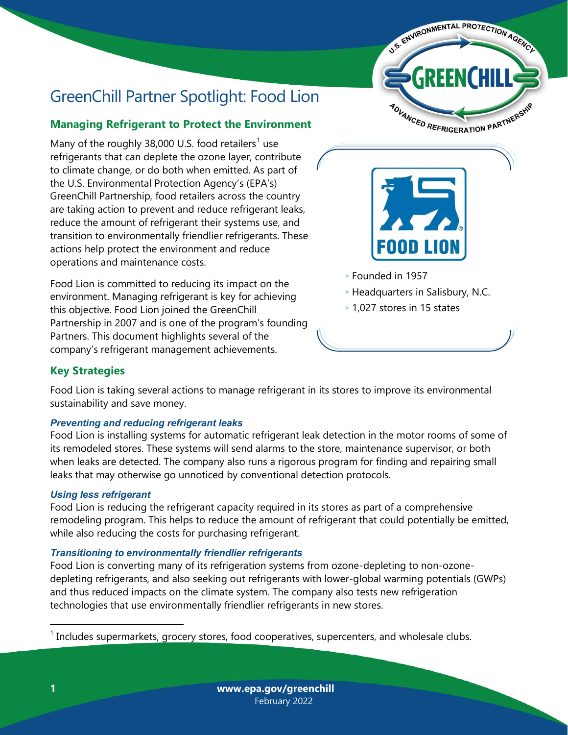

# GreenChill Partner Spotlight: Food Lion

## **Managing Refrigerant to Protect the Environment**

Many of the roughly 38,000 U.S. food retailers<sup>[1](#page-0-0)</sup> use refrigerants that can deplete the ozone layer, contribute to climate change, or do both when emitted. As part of the U.S. Environmental Protection Agency's (EPA's) GreenChill Partnership, food retailers across the country are taking action to prevent and reduce refrigerant leaks, reduce the amount of refrigerant their systems use, and transition to environmentally friendlier refrigerants. These actions help protect the environment and reduce operations and maintenance costs.

Food Lion is committed to reducing its impact on the environment. Managing refrigerant is key for achieving this objective. Food Lion joined the GreenChill Partnership in 2007 and is one of the program's founding Partners. This document highlights several of the company's refrigerant management achievements.



- Founded in 1957
- Headquarters in Salisbury, N.C.
- 1,027 stores in 15 states

## **Key Strategies**

Food Lion is taking several actions to manage refrigerant in its stores to improve its environmental sustainability and save money.

#### *Preventing and reducing refrigerant leaks*

Food Lion is installing systems for automatic refrigerant leak detection in the motor rooms of some of its remodeled stores. These systems will send alarms to the store, maintenance supervisor, or both when leaks are detected. The company also runs a rigorous program for finding and repairing small leaks that may otherwise go unnoticed by conventional detection protocols.

#### *Using less refrigerant*

Food Lion is reducing the refrigerant capacity required in its stores as part of a comprehensive remodeling program. This helps to reduce the amount of refrigerant that could potentially be emitted, while also reducing the costs for purchasing refrigerant.

#### *Transitioning to environmentally friendlier refrigerants*

Food Lion is converting many of its refrigeration systems from ozone-depleting to non-ozonedepleting refrigerants, and also seeking out refrigerants with lower-global warming potentials (GWPs) and thus reduced impacts on the climate system. The company also tests new refrigeration technologies that use environmentally friendlier refrigerants in new stores.

<span id="page-0-0"></span> $<sup>1</sup>$  Includes supermarkets, grocery stores, food cooperatives, supercenters, and wholesale clubs.</sup>